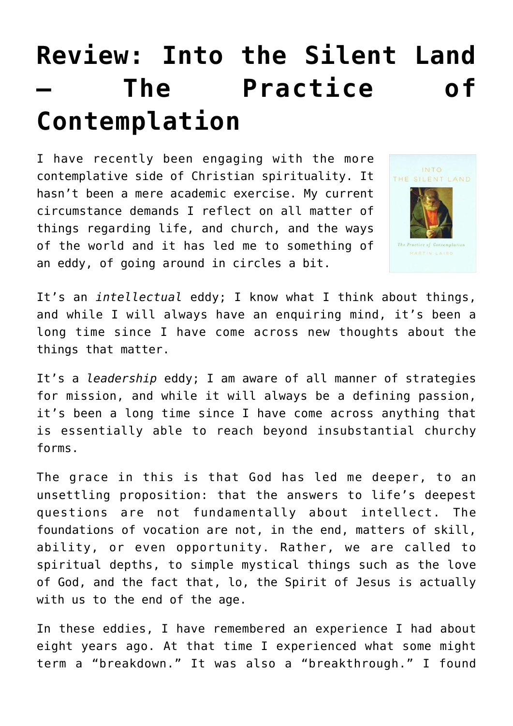## **[Review: Into the Silent Land](https://briggs.id.au/jour/2018/03/into-the-silent-land-the-practice-of-contemplation/) [– The Practice of](https://briggs.id.au/jour/2018/03/into-the-silent-land-the-practice-of-contemplation/) [Contemplation](https://briggs.id.au/jour/2018/03/into-the-silent-land-the-practice-of-contemplation/)**

I have recently been engaging with the more contemplative side of Christian spirituality. It hasn't been a mere academic exercise. My current circumstance demands I reflect on all matter of things regarding life, and church, and the ways of the world and it has led me to something of an eddy, of going around in circles a bit.



It's an *intellectual* eddy; I know what I think about things, and while I will always have an enquiring mind, it's been a long time since I have come across new thoughts about the things that matter.

It's a *leadership* eddy; I am aware of all manner of strategies for mission, and while it will always be a defining passion, it's been a long time since I have come across anything that is essentially able to reach beyond insubstantial churchy forms.

The grace in this is that God has led me deeper, to an unsettling proposition: that the answers to life's deepest questions are not fundamentally about intellect. The foundations of vocation are not, in the end, matters of skill, ability, or even opportunity. Rather, we are called to spiritual depths, to simple mystical things such as the love of God, and the fact that, lo, the Spirit of Jesus is actually with us to the end of the age.

In these eddies, I have remembered an experience I had about eight years ago. At that time I experienced what some might term a "breakdown." It was also a "breakthrough." I found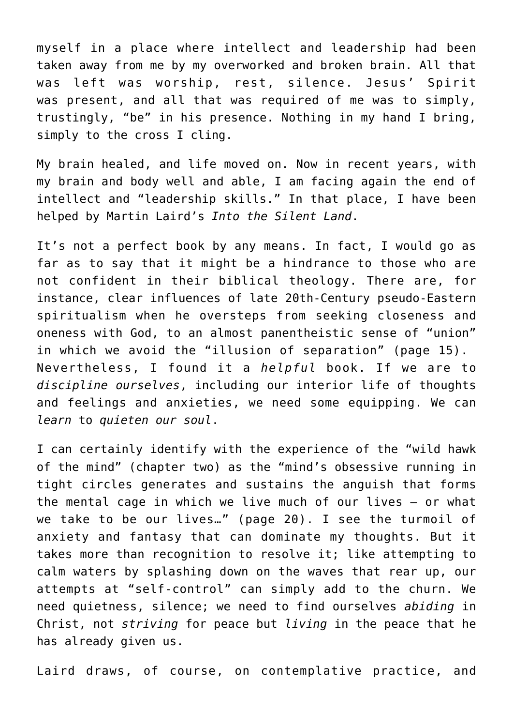myself in a place where intellect and leadership had been taken away from me by my overworked and broken brain. All that was left was worship, rest, silence. Jesus' Spirit was present, and all that was required of me was to simply, trustingly, "be" in his presence. Nothing in my hand I bring, simply to the cross I cling.

My brain healed, and life moved on. Now in recent years, with my brain and body well and able, I am facing again the end of intellect and "leadership skills." In that place, I have been helped by Martin Laird's *[Into the Silent Land](https://www.amazon.co.uk/Into-Silent-Land-Practice-Contemplation/dp/0232526400/ref=sr_1_1_twi_pap_1?s=books&ie=UTF8&qid=1521625661&sr=1-1&keywords=martin+laird+-+into+the+silent+land)*[.](https://www.amazon.co.uk/Into-Silent-Land-Practice-Contemplation/dp/0232526400/ref=sr_1_1_twi_pap_1?s=books&ie=UTF8&qid=1521625661&sr=1-1&keywords=martin+laird+-+into+the+silent+land)

It's not a perfect book by any means. In fact, I would go as far as to say that it might be a hindrance to those who are not confident in their biblical theology. There are, for instance, clear influences of late 20th-Century pseudo-Eastern spiritualism when he oversteps from seeking closeness and oneness with God, to an almost panentheistic sense of "union" in which we avoid the "illusion of separation" (page 15). Nevertheless, I found it a *helpful* book. If we are to *discipline ourselves*, including our interior life of thoughts and feelings and anxieties, we need some equipping. We can *learn* to *quieten our soul*.

I can certainly identify with the experience of the "wild hawk of the mind" (chapter two) as the "mind's obsessive running in tight circles generates and sustains the anguish that forms the mental cage in which we live much of our lives – or what we take to be our lives…" (page 20). I see the turmoil of anxiety and fantasy that can dominate my thoughts. But it takes more than recognition to resolve it; like attempting to calm waters by splashing down on the waves that rear up, our attempts at "self-control" can simply add to the churn. We need quietness, silence; we need to find ourselves *abiding* in Christ, not *striving* for peace but *living* in the peace that he has already given us.

Laird draws, of course, on contemplative practice, and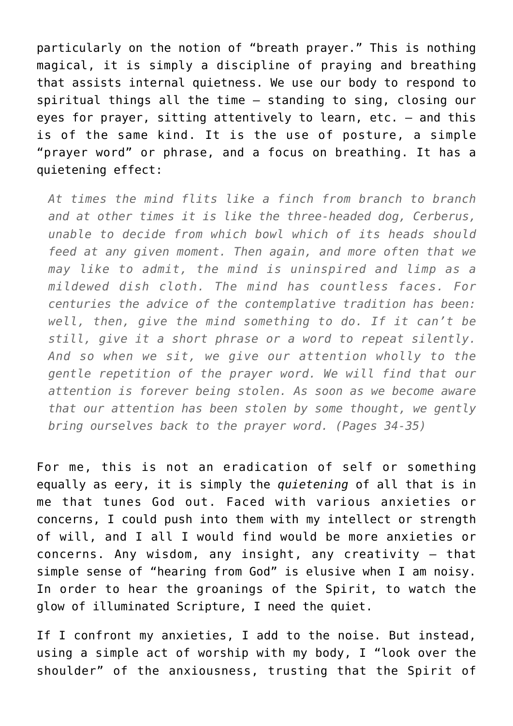particularly on the notion of "breath prayer." This is nothing magical, it is simply a discipline of praying and breathing that assists internal quietness. We use our body to respond to spiritual things all the time – standing to sing, closing our eyes for prayer, sitting attentively to learn, etc. – and this is of the same kind. It is the use of posture, a simple "prayer word" or phrase, and a focus on breathing. It has a quietening effect:

*At times the mind flits like a finch from branch to branch and at other times it is like the three-headed dog, Cerberus, unable to decide from which bowl which of its heads should feed at any given moment. Then again, and more often that we may like to admit, the mind is uninspired and limp as a mildewed dish cloth. The mind has countless faces. For centuries the advice of the contemplative tradition has been: well, then, give the mind something to do. If it can't be still, give it a short phrase or a word to repeat silently. And so when we sit, we give our attention wholly to the gentle repetition of the prayer word. We will find that our attention is forever being stolen. As soon as we become aware that our attention has been stolen by some thought, we gently bring ourselves back to the prayer word. (Pages 34-35)*

For me, this is not an eradication of self or something equally as eery, it is simply the *quietening* of all that is in me that tunes God out. Faced with various anxieties or concerns, I could push into them with my intellect or strength of will, and I all I would find would be more anxieties or concerns. Any wisdom, any insight, any creativity – that simple sense of "hearing from God" is elusive when I am noisy. In order to hear the groanings of the Spirit, to watch the glow of illuminated Scripture, I need the quiet.

If I confront my anxieties, I add to the noise. But instead, using a simple act of worship with my body, I "look over the shoulder" of the anxiousness, trusting that the Spirit of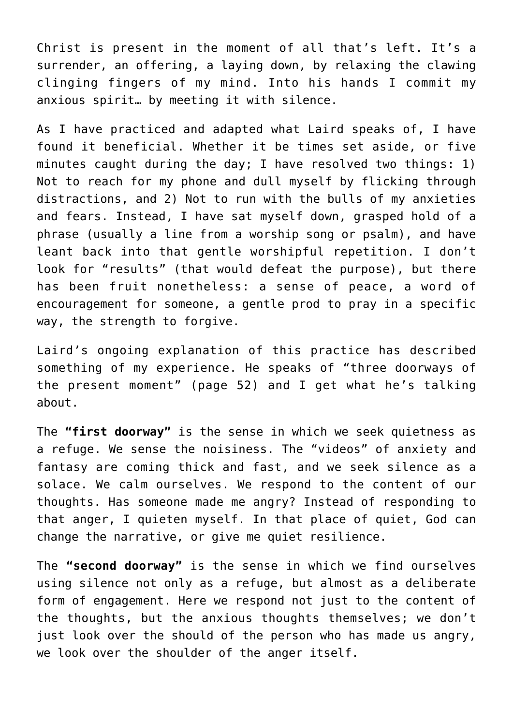Christ is present in the moment of all that's left. It's a surrender, an offering, a laying down, by relaxing the clawing clinging fingers of my mind. Into his hands I commit my anxious spirit… by meeting it with silence.

As I have practiced and adapted what Laird speaks of, I have found it beneficial. Whether it be times set aside, or five minutes caught during the day; I have resolved two things: 1) Not to reach for my phone and dull myself by flicking through distractions, and 2) Not to run with the bulls of my anxieties and fears. Instead, I have sat myself down, grasped hold of a phrase (usually a line from a worship song or psalm), and have leant back into that gentle worshipful repetition. I don't look for "results" (that would defeat the purpose), but there has been fruit nonetheless: a sense of peace, a word of encouragement for someone, a gentle prod to pray in a specific way, the strength to forgive.

Laird's ongoing explanation of this practice has described something of my experience. He speaks of "three doorways of the present moment" (page 52) and I get what he's talking about.

The **"first doorway"** is the sense in which we seek quietness as a refuge. We sense the noisiness. The "videos" of anxiety and fantasy are coming thick and fast, and we seek silence as a solace. We calm ourselves. We respond to the content of our thoughts. Has someone made me angry? Instead of responding to that anger, I quieten myself. In that place of quiet, God can change the narrative, or give me quiet resilience.

The **"second doorway"** is the sense in which we find ourselves using silence not only as a refuge, but almost as a deliberate form of engagement. Here we respond not just to the content of the thoughts, but the anxious thoughts themselves; we don't just look over the should of the person who has made us angry, we look over the shoulder of the anger itself.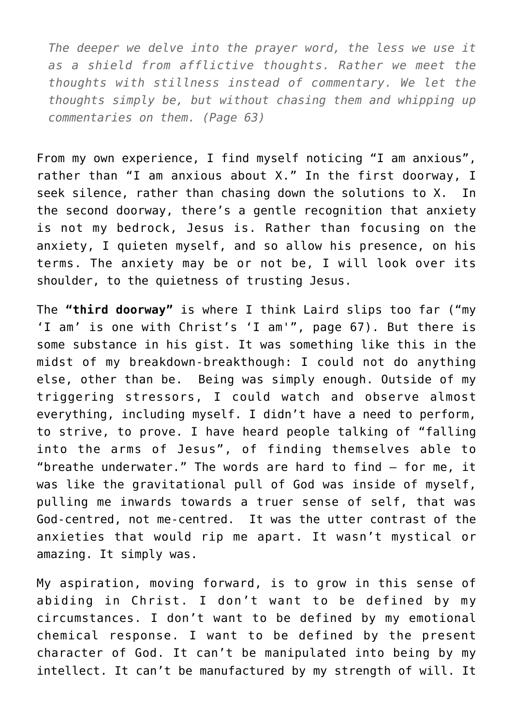*The deeper we delve into the prayer word, the less we use it as a shield from afflictive thoughts. Rather we meet the thoughts with stillness instead of commentary. We let the thoughts simply be, but without chasing them and whipping up commentaries on them. (Page 63)*

From my own experience, I find myself noticing "I am anxious", rather than "I am anxious about X." In the first doorway, I seek silence, rather than chasing down the solutions to X. In the second doorway, there's a gentle recognition that anxiety is not my bedrock, Jesus is. Rather than focusing on the anxiety, I quieten myself, and so allow his presence, on his terms. The anxiety may be or not be, I will look over its shoulder, to the quietness of trusting Jesus.

The **"third doorway"** is where I think Laird slips too far ("my 'I am' is one with Christ's 'I am'", page 67). But there is some substance in his gist. It was something like this in the midst of my breakdown-breakthough: I could not do anything else, other than be. Being was simply enough. Outside of my triggering stressors, I could watch and observe almost everything, including myself. I didn't have a need to perform, to strive, to prove. I have heard people talking of "falling into the arms of Jesus", of finding themselves able to "breathe underwater." The words are hard to find – for me, it was like the gravitational pull of God was inside of myself, pulling me inwards towards a truer sense of self, that was God-centred, not me-centred. It was the utter contrast of the anxieties that would rip me apart. It wasn't mystical or amazing. It simply was.

My aspiration, moving forward, is to grow in this sense of abiding in Christ. I don't want to be defined by my circumstances. I don't want to be defined by my emotional chemical response. I want to be defined by the present character of God. It can't be manipulated into being by my intellect. It can't be manufactured by my strength of will. It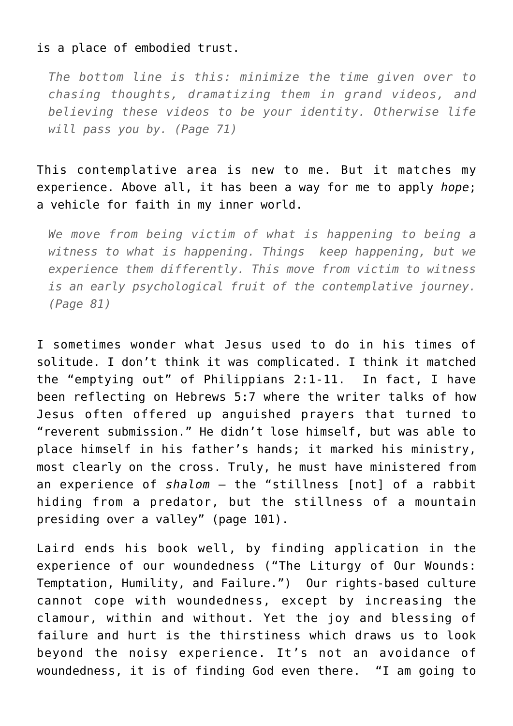## is a place of embodied trust.

*The bottom line is this: minimize the time given over to chasing thoughts, dramatizing them in grand videos, and believing these videos to be your identity. Otherwise life will pass you by. (Page 71)*

This contemplative area is new to me. But it matches my experience. Above all, it has been a way for me to apply *hope*; a vehicle for faith in my inner world.

*We move from being victim of what is happening to being a witness to what is happening. Things keep happening, but we experience them differently. This move from victim to witness is an early psychological fruit of the contemplative journey. (Page 81)*

I sometimes wonder what Jesus used to do in his times of solitude. I don't think it was complicated. I think it matched the "emptying out" of Philippians 2:1-11. In fact, I have been reflecting on Hebrews 5:7 where the writer talks of how Jesus often offered up anguished prayers that turned to "reverent submission." He didn't lose himself, but was able to place himself in his father's hands; it marked his ministry, most clearly on the cross. Truly, he must have ministered from an experience of *shalom* – the "stillness [not] of a rabbit hiding from a predator, but the stillness of a mountain presiding over a valley" (page 101).

Laird ends his book well, by finding application in the experience of our woundedness ("The Liturgy of Our Wounds: Temptation, Humility, and Failure.") Our rights-based culture cannot cope with woundedness, except by increasing the clamour, within and without. Yet the joy and blessing of failure and hurt is the thirstiness which draws us to look beyond the noisy experience. It's not an avoidance of woundedness, it is of finding God even there. "I am going to